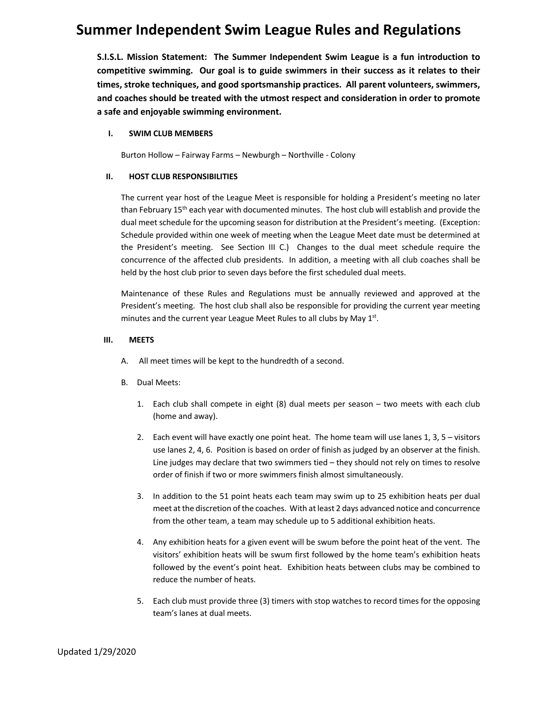**S.I.S.L. Mission Statement: The Summer Independent Swim League is a fun introduction to competitive swimming. Our goal is to guide swimmers in their success as it relates to their times, stroke techniques, and good sportsmanship practices. All parent volunteers, swimmers, and coaches should be treated with the utmost respect and consideration in order to promote a safe and enjoyable swimming environment.**

### **I. SWIM CLUB MEMBERS**

Burton Hollow – Fairway Farms – Newburgh – Northville - Colony

### **II. HOST CLUB RESPONSIBILITIES**

The current year host of the League Meet is responsible for holding a President's meeting no later than February  $15<sup>th</sup>$  each year with documented minutes. The host club will establish and provide the dual meet schedule for the upcoming season for distribution at the President's meeting. (Exception: Schedule provided within one week of meeting when the League Meet date must be determined at the President's meeting. See Section III C.) Changes to the dual meet schedule require the concurrence of the affected club presidents. In addition, a meeting with all club coaches shall be held by the host club prior to seven days before the first scheduled dual meets.

Maintenance of these Rules and Regulations must be annually reviewed and approved at the President's meeting. The host club shall also be responsible for providing the current year meeting minutes and the current year League Meet Rules to all clubs by May  $1<sup>st</sup>$ .

### **III. MEETS**

- A. All meet times will be kept to the hundredth of a second.
- B. Dual Meets:
	- 1. Each club shall compete in eight (8) dual meets per season two meets with each club (home and away).
	- 2. Each event will have exactly one point heat. The home team will use lanes 1, 3, 5 visitors use lanes 2, 4, 6. Position is based on order of finish as judged by an observer at the finish. Line judges may declare that two swimmers tied – they should not rely on times to resolve order of finish if two or more swimmers finish almost simultaneously.
	- 3. In addition to the 51 point heats each team may swim up to 25 exhibition heats per dual meet at the discretion of the coaches. With at least 2 days advanced notice and concurrence from the other team, a team may schedule up to 5 additional exhibition heats.
	- 4. Any exhibition heats for a given event will be swum before the point heat of the vent. The visitors' exhibition heats will be swum first followed by the home team's exhibition heats followed by the event's point heat. Exhibition heats between clubs may be combined to reduce the number of heats.
	- 5. Each club must provide three (3) timers with stop watches to record times for the opposing team's lanes at dual meets.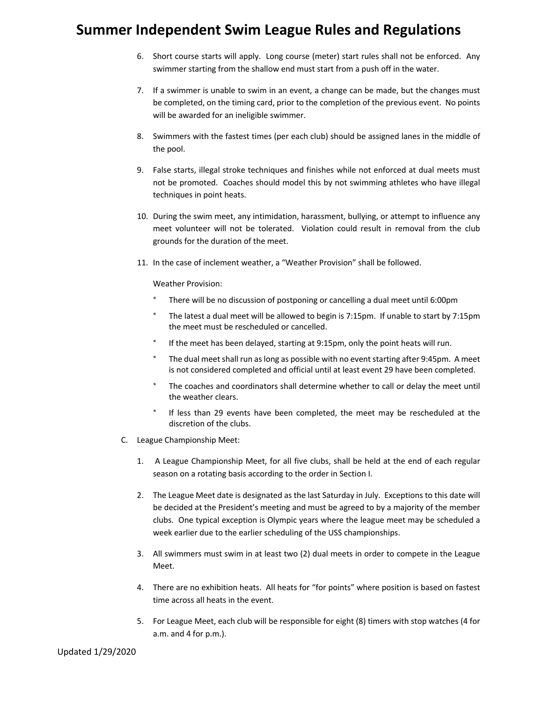- 6. Short course starts will apply. Long course (meter) start rules shall not be enforced. Any swimmer starting from the shallow end must start from a push off in the water.
- 7. If a swimmer is unable to swim in an event, a change can be made, but the changes must be completed, on the timing card, prior to the completion of the previous event. No points will be awarded for an ineligible swimmer.
- 8. Swimmers with the fastest times (per each club) should be assigned lanes in the middle of the pool.
- 9. False starts, illegal stroke techniques and finishes while not enforced at dual meets must not be promoted. Coaches should model this by not swimming athletes who have illegal techniques in point heats.
- 10. During the swim meet, any intimidation, harassment, bullying, or attempt to influence any meet volunteer will not be tolerated. Violation could result in removal from the club grounds for the duration of the meet.
- 11. In the case of inclement weather, a "Weather Provision" shall be followed.

Weather Provision:

- There will be no discussion of postponing or cancelling a dual meet until 6:00pm
- \* The latest a dual meet will be allowed to begin is 7:15pm. If unable to start by 7:15pm the meet must be rescheduled or cancelled.
- If the meet has been delayed, starting at 9:15pm, only the point heats will run.
- The dual meet shall run as long as possible with no event starting after 9:45pm. A meet is not considered completed and official until at least event 29 have been completed.
- \* The coaches and coordinators shall determine whether to call or delay the meet until the weather clears.
- If less than 29 events have been completed, the meet may be rescheduled at the discretion of the clubs.
- C. League Championship Meet:
	- 1. A League Championship Meet, for all five clubs, shall be held at the end of each regular season on a rotating basis according to the order in Section I.
	- 2. The League Meet date is designated as the last Saturday in July. Exceptions to this date will be decided at the President's meeting and must be agreed to by a majority of the member clubs. One typical exception is Olympic years where the league meet may be scheduled a week earlier due to the earlier scheduling of the USS championships.
	- 3. All swimmers must swim in at least two (2) dual meets in order to compete in the League Meet.
	- 4. There are no exhibition heats. All heats for "for points" where position is based on fastest time across all heats in the event.
	- 5. For League Meet, each club will be responsible for eight (8) timers with stop watches (4 for a.m. and 4 for p.m.).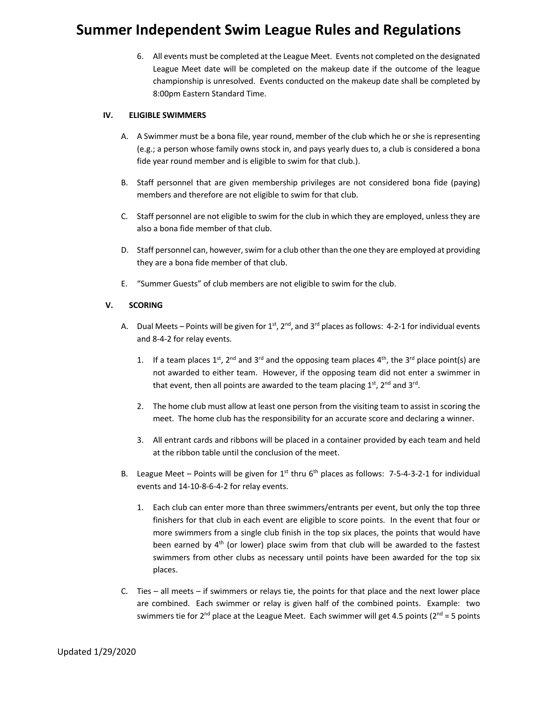6. All events must be completed at the League Meet. Events not completed on the designated League Meet date will be completed on the makeup date if the outcome of the league championship is unresolved. Events conducted on the makeup date shall be completed by 8:00pm Eastern Standard Time.

### **IV. ELIGIBLE SWIMMERS**

- A. A Swimmer must be a bona file, year round, member of the club which he or she is representing (e.g.; a person whose family owns stock in, and pays yearly dues to, a club is considered a bona fide year round member and is eligible to swim for that club.).
- B. Staff personnel that are given membership privileges are not considered bona fide (paying) members and therefore are not eligible to swim for that club.
- C. Staff personnel are not eligible to swim for the club in which they are employed, unless they are also a bona fide member of that club.
- D. Staff personnel can, however, swim for a club other than the one they are employed at providing they are a bona fide member of that club.
- E. "Summer Guests" of club members are not eligible to swim for the club.

### **V. SCORING**

- A. Dual Meets Points will be given for  $1<sup>st</sup>$ ,  $2<sup>nd</sup>$ , and  $3<sup>rd</sup>$  places as follows: 4-2-1 for individual events and 8-4-2 for relay events.
	- 1. If a team places 1<sup>st</sup>, 2<sup>nd</sup> and 3<sup>rd</sup> and the opposing team places 4<sup>th</sup>, the 3<sup>rd</sup> place point(s) are not awarded to either team. However, if the opposing team did not enter a swimmer in that event, then all points are awarded to the team placing 1<sup>st</sup>, 2<sup>nd</sup> and 3<sup>rd</sup>.
	- 2. The home club must allow at least one person from the visiting team to assist in scoring the meet. The home club has the responsibility for an accurate score and declaring a winner.
	- 3. All entrant cards and ribbons will be placed in a container provided by each team and held at the ribbon table until the conclusion of the meet.
- B. League Meet Points will be given for  $1^{st}$  thru 6<sup>th</sup> places as follows: 7-5-4-3-2-1 for individual events and 14-10-8-6-4-2 for relay events.
	- 1. Each club can enter more than three swimmers/entrants per event, but only the top three finishers for that club in each event are eligible to score points. In the event that four or more swimmers from a single club finish in the top six places, the points that would have been earned by  $4<sup>th</sup>$  (or lower) place swim from that club will be awarded to the fastest swimmers from other clubs as necessary until points have been awarded for the top six places.
- C. Ties all meets if swimmers or relays tie, the points for that place and the next lower place are combined. Each swimmer or relay is given half of the combined points. Example: two swimmers tie for  $2^{nd}$  place at the League Meet. Each swimmer will get 4.5 points ( $2^{nd}$  = 5 points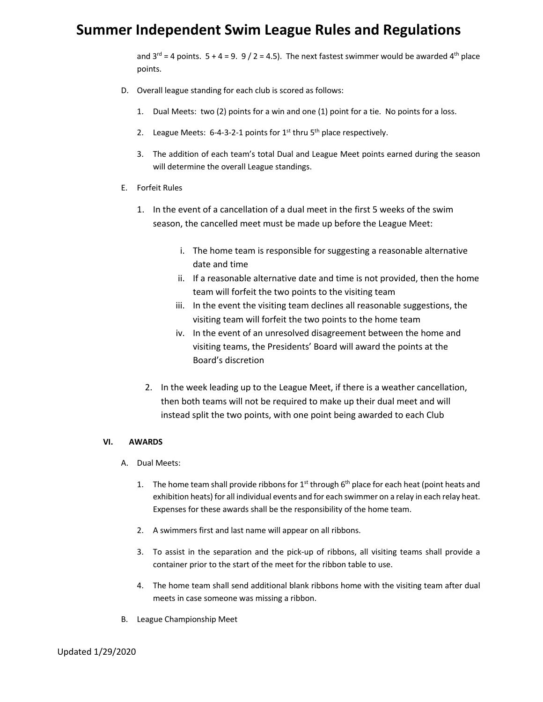and  $3^{rd}$  = 4 points.  $5 + 4 = 9$ . 9 / 2 = 4.5). The next fastest swimmer would be awarded 4<sup>th</sup> place points.

- D. Overall league standing for each club is scored as follows:
	- 1. Dual Meets: two (2) points for a win and one (1) point for a tie. No points for a loss.
	- 2. League Meets:  $6-4-3-2-1$  points for  $1^{st}$  thru  $5^{th}$  place respectively.
	- 3. The addition of each team's total Dual and League Meet points earned during the season will determine the overall League standings.
- E. Forfeit Rules
	- 1. In the event of a cancellation of a dual meet in the first 5 weeks of the swim season, the cancelled meet must be made up before the League Meet:
		- i. The home team is responsible for suggesting a reasonable alternative date and time
		- ii. If a reasonable alternative date and time is not provided, then the home team will forfeit the two points to the visiting team
		- iii. In the event the visiting team declines all reasonable suggestions, the visiting team will forfeit the two points to the home team
		- iv. In the event of an unresolved disagreement between the home and visiting teams, the Presidents' Board will award the points at the Board's discretion
		- 2. In the week leading up to the League Meet, if there is a weather cancellation, then both teams will not be required to make up their dual meet and will instead split the two points, with one point being awarded to each Club

### **VI. AWARDS**

- A. Dual Meets:
	- 1. The home team shall provide ribbons for  $1<sup>st</sup>$  through 6<sup>th</sup> place for each heat (point heats and exhibition heats) for all individual events and for each swimmer on a relay in each relay heat. Expenses for these awards shall be the responsibility of the home team.
	- 2. A swimmers first and last name will appear on all ribbons.
	- 3. To assist in the separation and the pick-up of ribbons, all visiting teams shall provide a container prior to the start of the meet for the ribbon table to use.
	- 4. The home team shall send additional blank ribbons home with the visiting team after dual meets in case someone was missing a ribbon.
- B. League Championship Meet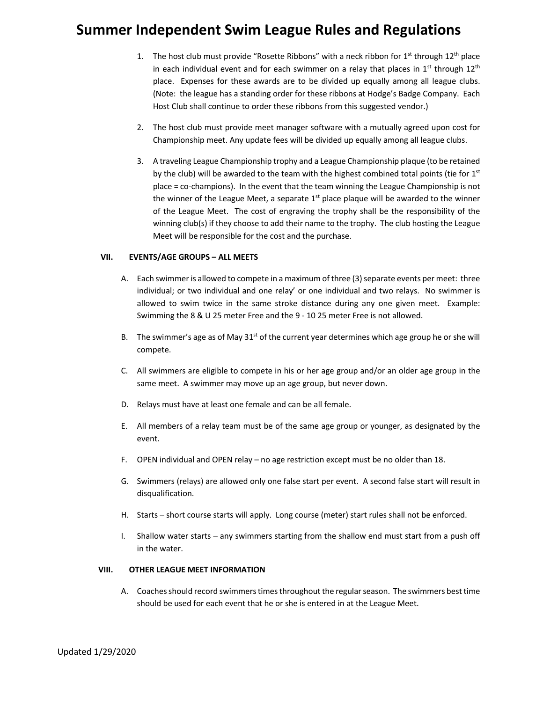- 1. The host club must provide "Rosette Ribbons" with a neck ribbon for 1<sup>st</sup> through 12<sup>th</sup> place in each individual event and for each swimmer on a relay that places in  $1^{st}$  through  $12^{th}$ place. Expenses for these awards are to be divided up equally among all league clubs. (Note: the league has a standing order for these ribbons at Hodge's Badge Company. Each Host Club shall continue to order these ribbons from this suggested vendor.)
- 2. The host club must provide meet manager software with a mutually agreed upon cost for Championship meet. Any update fees will be divided up equally among all league clubs.
- 3. A traveling League Championship trophy and a League Championship plaque (to be retained by the club) will be awarded to the team with the highest combined total points (tie for  $1<sup>st</sup>$ place = co-champions). In the event that the team winning the League Championship is not the winner of the League Meet, a separate  $1<sup>st</sup>$  place plaque will be awarded to the winner of the League Meet. The cost of engraving the trophy shall be the responsibility of the winning club(s) if they choose to add their name to the trophy. The club hosting the League Meet will be responsible for the cost and the purchase.

### **VII. EVENTS/AGE GROUPS – ALL MEETS**

- A. Each swimmer is allowed to compete in a maximum of three (3) separate events per meet: three individual; or two individual and one relay' or one individual and two relays. No swimmer is allowed to swim twice in the same stroke distance during any one given meet. Example: Swimming the 8 & U 25 meter Free and the 9 - 10 25 meter Free is not allowed.
- B. The swimmer's age as of May  $31<sup>st</sup>$  of the current year determines which age group he or she will compete.
- C. All swimmers are eligible to compete in his or her age group and/or an older age group in the same meet. A swimmer may move up an age group, but never down.
- D. Relays must have at least one female and can be all female.
- E. All members of a relay team must be of the same age group or younger, as designated by the event.
- F. OPEN individual and OPEN relay no age restriction except must be no older than 18.
- G. Swimmers (relays) are allowed only one false start per event. A second false start will result in disqualification.
- H. Starts short course starts will apply. Long course (meter) start rules shall not be enforced.
- I. Shallow water starts any swimmers starting from the shallow end must start from a push off in the water.

#### **VIII. OTHER LEAGUE MEET INFORMATION**

A. Coaches should record swimmerstimes throughout the regular season. The swimmers best time should be used for each event that he or she is entered in at the League Meet.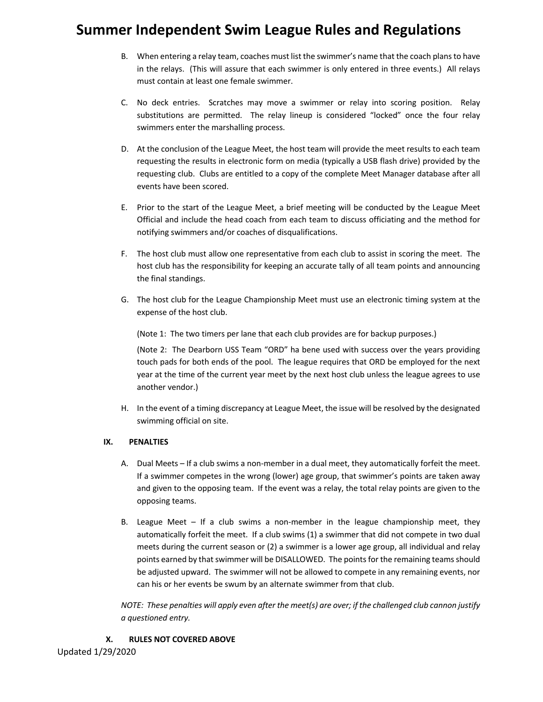- B. When entering a relay team, coaches must list the swimmer's name that the coach plans to have in the relays. (This will assure that each swimmer is only entered in three events.) All relays must contain at least one female swimmer.
- C. No deck entries. Scratches may move a swimmer or relay into scoring position. Relay substitutions are permitted. The relay lineup is considered "locked" once the four relay swimmers enter the marshalling process.
- D. At the conclusion of the League Meet, the host team will provide the meet results to each team requesting the results in electronic form on media (typically a USB flash drive) provided by the requesting club. Clubs are entitled to a copy of the complete Meet Manager database after all events have been scored.
- E. Prior to the start of the League Meet, a brief meeting will be conducted by the League Meet Official and include the head coach from each team to discuss officiating and the method for notifying swimmers and/or coaches of disqualifications.
- F. The host club must allow one representative from each club to assist in scoring the meet. The host club has the responsibility for keeping an accurate tally of all team points and announcing the final standings.
- G. The host club for the League Championship Meet must use an electronic timing system at the expense of the host club.

(Note 1: The two timers per lane that each club provides are for backup purposes.)

(Note 2: The Dearborn USS Team "ORD" ha bene used with success over the years providing touch pads for both ends of the pool. The league requires that ORD be employed for the next year at the time of the current year meet by the next host club unless the league agrees to use another vendor.)

H. In the event of a timing discrepancy at League Meet, the issue will be resolved by the designated swimming official on site.

### **IX. PENALTIES**

- A. Dual Meets If a club swims a non-member in a dual meet, they automatically forfeit the meet. If a swimmer competes in the wrong (lower) age group, that swimmer's points are taken away and given to the opposing team. If the event was a relay, the total relay points are given to the opposing teams.
- B. League Meet If a club swims a non-member in the league championship meet, they automatically forfeit the meet. If a club swims (1) a swimmer that did not compete in two dual meets during the current season or (2) a swimmer is a lower age group, all individual and relay points earned by that swimmer will be DISALLOWED. The points for the remaining teams should be adjusted upward. The swimmer will not be allowed to compete in any remaining events, nor can his or her events be swum by an alternate swimmer from that club.

*NOTE: These penalties will apply even after the meet(s) are over; if the challenged club cannon justify a questioned entry.*

### **X. RULES NOT COVERED ABOVE**

Updated 1/29/2020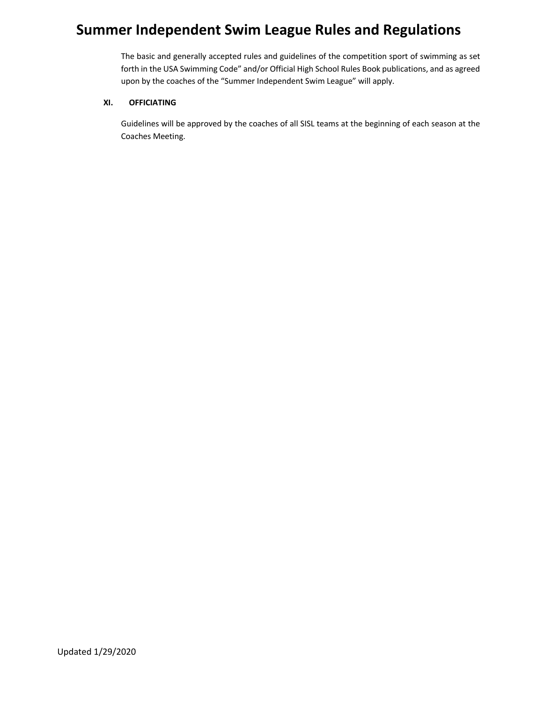The basic and generally accepted rules and guidelines of the competition sport of swimming as set forth in the USA Swimming Code" and/or Official High School Rules Book publications, and as agreed upon by the coaches of the "Summer Independent Swim League" will apply.

### **XI. OFFICIATING**

Guidelines will be approved by the coaches of all SISL teams at the beginning of each season at the Coaches Meeting.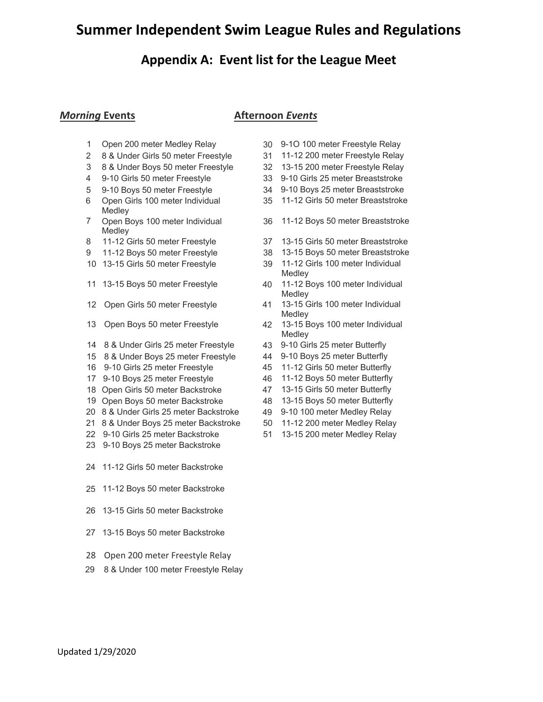### **Appendix A: Event list for the League Meet**

### *Morning* **Events Afternoon** *Events*

- 
- 8 & Under Girls 50 meter Freestyle 31 11-12 200 meter Freestyle Relay
- 8 & Under Boys 50 meter Freestyle 32 13-15 200 meter Freestyle Relay
- 
- 
- Open Girls 100 meter Individual Medley
- Open Boys 100 meter Individual Medley
- 11-12 Girls 50 meter Freestyle 37 13-15 Girls 50 meter Breaststroke
- 11-12 Boys 50 meter Freestyle 38 13-15 Boys 50 meter Breaststroke
- 
- 
- 
- 
- 8 & Under Girls 25 meter Freestyle 43 9-10 Girls 25 meter Butterfly
- 8 & Under Boys 25 meter Freestyle 44 9-10 Boys 25 meter Butterfly
- 
- 9-10 Boys 25 meter Freestyle 46 11-12 Boys 50 meter Butterfly
- Open Girls 50 meter Backstroke 47 13-15 Girls 50 meter Butterfly
- Open Boys 50 meter Backstroke 48 13-15 Boys 50 meter Butterfly
- 8 & Under Girls 25 meter Backstroke 49 9-10 100 meter Medley Relay
- 8 & Under Boys 25 meter Backstroke 50 11-12 200 meter Medley Relay
- 9-10 Girls 25 meter Backstroke 51 13-15 200 meter Medley Relay
- 9-10 Boys 25 meter Backstroke
- 11-12 Girls 50 meter Backstroke
- 11-12 Boys 50 meter Backstroke
- 13-15 Girls 50 meter Backstroke
- 13-15 Boys 50 meter Backstroke
- Open 200 meter Freestyle Relay
- 29 8 & Under 100 meter Freestyle Relay
- Open 200 meter Medley Relay 30 9-1O 100 meter Freestyle Relay
	-
	-
- 9-10 Girls 50 meter Freestyle 33 9-10 Girls 25 meter Breaststroke
- 9-10 Boys 50 meter Freestyle 34 9-10 Boys 25 meter Breaststroke
	- 11-12 Girls 50 meter Breaststroke
	- 11-12 Boys 50 meter Breaststroke
	-
	-
- 13-15 Girls 50 meter Freestyle 39 11-12 Girls 100 meter Individual Medley
- 13-15 Boys 50 meter Freestyle 40 11-12 Boys 100 meter Individual Medley
- Open Girls 50 meter Freestyle 41 13-15 Girls 100 meter Individual Medley
- Open Boys 50 meter Freestyle 42 13-15 Boys 100 meter Individual Medley
	-
	-
- 9-10 Girls 25 meter Freestyle 45 11-12 Girls 50 meter Butterfly
	-
	-
	-
	-
	-
	-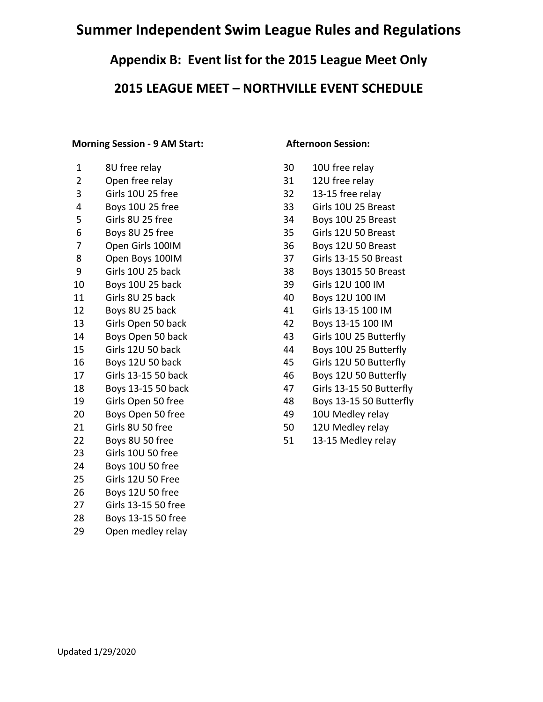### **Appendix B: Event list for the 2015 League Meet Only**

### **2015 LEAGUE MEET – NORTHVILLE EVENT SCHEDULE**

### **Morning Session - 9 AM Start: Afternoon Session:**

| 8U free relay       | 30 | 10U free relay        |
|---------------------|----|-----------------------|
| Open free relay     | 31 | 12U free relay        |
| Girls 10U 25 free   | 32 | 13-15 free relay      |
| Boys 10U 25 free    | 33 | Girls 10U 25 Br       |
| Girls 8U 25 free    | 34 | Boys 10U 25 Br        |
| Boys 8U 25 free     | 35 | Girls 12U 50 Br       |
| Open Girls 100IM    | 36 | Boys 12U 50 Br        |
| Open Boys 100IM     | 37 | Girls 13-15 50 E      |
| Girls 10U 25 back   | 38 | Boys 13015 50         |
| Boys 10U 25 back    | 39 | Girls 12U 100 II      |
| Girls 8U 25 back    | 40 | Boys 12U 100 II       |
| Boys 8U 25 back     | 41 | Girls 13-15 100       |
| Girls Open 50 back  | 42 | Boys 13-15 100        |
| Boys Open 50 back   | 43 | Girls 10U 25 Bu       |
| Girls 12U 50 back   | 44 | <b>Boys 10U 25 Bu</b> |
| Boys 12U 50 back    | 45 | Girls 12U 50 Bu       |
| Girls 13-15 50 back | 46 | Boys 12U 50 Bu        |
| Boys 13-15 50 back  | 47 | Girls 13-15 50 E      |
| Girls Open 50 free  | 48 | Boys 13-15 50 B       |
| Boys Open 50 free   | 49 | 10U Medley rel        |
| Girls 8U 50 free    | 50 | 12U Medley rel        |
| Boys 8U 50 free     | 51 | 13-15 Medley r        |
| Girls 10U 50 free   |    |                       |
| Boys 10U 50 free    |    |                       |
| Girls 12U 50 Free   |    |                       |
| Boys 12U 50 free    |    |                       |
| Girls 13-15 50 free |    |                       |
| Boys 13-15 50 free  |    |                       |
| Open medley relay   |    |                       |
|                     |    |                       |

- 30 10U free relay
- 31 12U free relay
- $32$  13-15 free relay
- 33 Girls 10U 25 Breast
- 34 Boys 10U 25 Breast
- 35 Girls 12U 50 Breast
- 36 Boys 12U 50 Breast
- 37 Girls 13-15 50 Breast
- 38 Boys 13015 50 Breast
- 39 Girls 12U 100 IM
- 40 Boys 12U 100 IM
- 41 Girls 13-15 100 IM
- 42 Boys 13-15 100 IM
- 43 Girls 10U 25 Butterfly
- 44 Boys 10U 25 Butterfly
- 45 Girls 12U 50 Butterfly
- 46 Boys 12U 50 Butterfly
- 47 Girls 13-15 50 Butterfly
- 48 Boys 13-15 50 Butterfly
- 49 10U Medley relay
- 50 12U Medley relay
- 51 13-15 Medley relay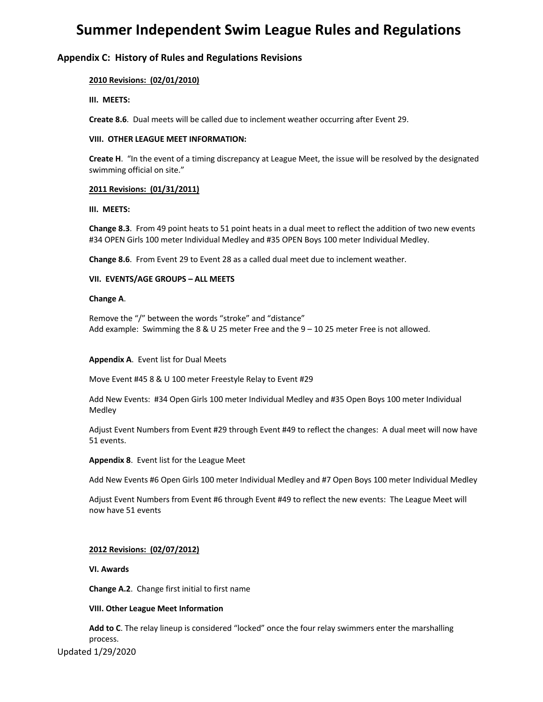### **Appendix C: History of Rules and Regulations Revisions**

### **2010 Revisions: (02/01/2010)**

**III. MEETS:**

**Create 8.6**. Dual meets will be called due to inclement weather occurring after Event 29.

### **VIII. OTHER LEAGUE MEET INFORMATION:**

**Create H**. "In the event of a timing discrepancy at League Meet, the issue will be resolved by the designated swimming official on site."

### **2011 Revisions: (01/31/2011)**

**III. MEETS:**

**Change 8.3**. From 49 point heats to 51 point heats in a dual meet to reflect the addition of two new events #34 OPEN Girls 100 meter Individual Medley and #35 OPEN Boys 100 meter Individual Medley.

**Change 8.6**. From Event 29 to Event 28 as a called dual meet due to inclement weather.

### **VII. EVENTS/AGE GROUPS – ALL MEETS**

#### **Change A**.

Remove the "/" between the words "stroke" and "distance" Add example: Swimming the 8 & U 25 meter Free and the 9 – 10 25 meter Free is not allowed.

#### **Appendix A**. Event list for Dual Meets

Move Event #45 8 & U 100 meter Freestyle Relay to Event #29

Add New Events: #34 Open Girls 100 meter Individual Medley and #35 Open Boys 100 meter Individual Medley

Adjust Event Numbers from Event #29 through Event #49 to reflect the changes: A dual meet will now have 51 events.

**Appendix 8**. Event list for the League Meet

Add New Events #6 Open Girls 100 meter Individual Medley and #7 Open Boys 100 meter Individual Medley

Adjust Event Numbers from Event #6 through Event #49 to reflect the new events: The League Meet will now have 51 events

### **2012 Revisions: (02/07/2012)**

**VI. Awards**

**Change A.2**. Change first initial to first name

#### **VIII. Other League Meet Information**

**Add to C**. The relay lineup is considered "locked" once the four relay swimmers enter the marshalling process.

Updated 1/29/2020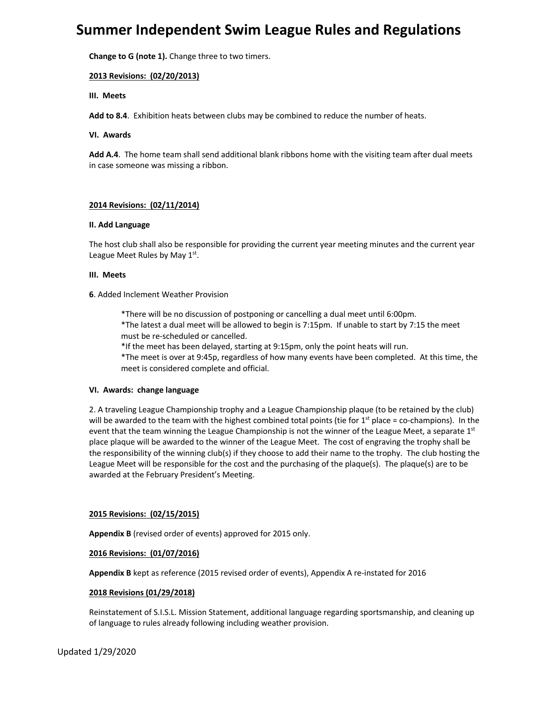**Change to G (note 1).** Change three to two timers.

### **2013 Revisions: (02/20/2013)**

**III. Meets**

**Add to 8.4**. Exhibition heats between clubs may be combined to reduce the number of heats.

#### **VI. Awards**

**Add A.4**. The home team shall send additional blank ribbons home with the visiting team after dual meets in case someone was missing a ribbon.

### **2014 Revisions: (02/11/2014)**

### **II. Add Language**

The host club shall also be responsible for providing the current year meeting minutes and the current year League Meet Rules by May  $1<sup>st</sup>$ .

### **III. Meets**

### **6**. Added Inclement Weather Provision

\*There will be no discussion of postponing or cancelling a dual meet until 6:00pm. \*The latest a dual meet will be allowed to begin is 7:15pm. If unable to start by 7:15 the meet must be re-scheduled or cancelled.

\*If the meet has been delayed, starting at 9:15pm, only the point heats will run.

\*The meet is over at 9:45p, regardless of how many events have been completed. At this time, the meet is considered complete and official.

#### **VI. Awards: change language**

2. A traveling League Championship trophy and a League Championship plaque (to be retained by the club) will be awarded to the team with the highest combined total points (tie for  $1<sup>st</sup>$  place = co-champions). In the event that the team winning the League Championship is not the winner of the League Meet, a separate 1st place plaque will be awarded to the winner of the League Meet. The cost of engraving the trophy shall be the responsibility of the winning club(s) if they choose to add their name to the trophy. The club hosting the League Meet will be responsible for the cost and the purchasing of the plaque(s). The plaque(s) are to be awarded at the February President's Meeting.

### **2015 Revisions: (02/15/2015)**

**Appendix B** (revised order of events) approved for 2015 only.

### **2016 Revisions: (01/07/2016)**

**Appendix B** kept as reference (2015 revised order of events), Appendix A re-instated for 2016

### **2018 Revisions (01/29/2018)**

Reinstatement of S.I.S.L. Mission Statement, additional language regarding sportsmanship, and cleaning up of language to rules already following including weather provision.